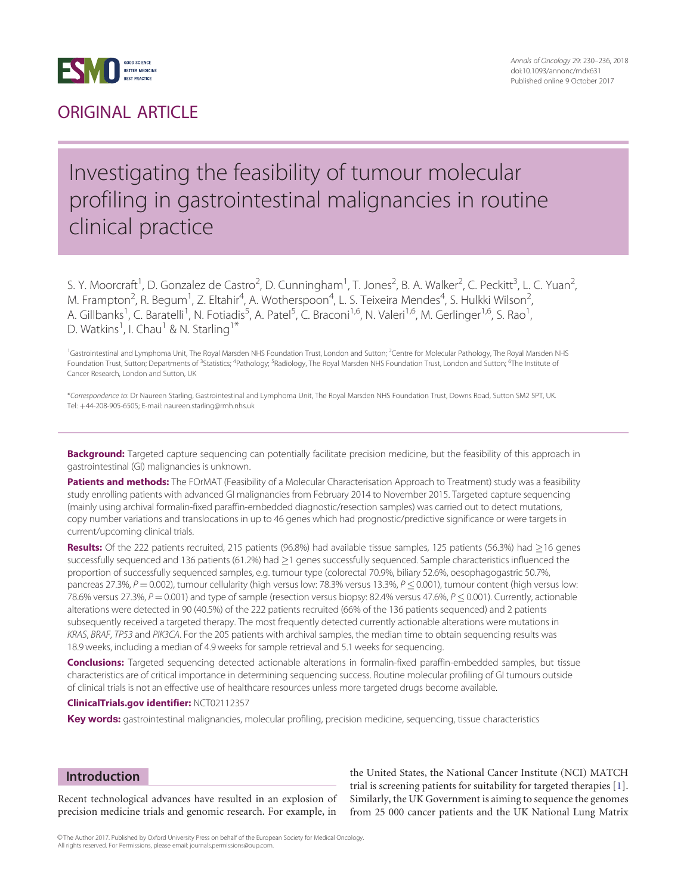<span id="page-0-0"></span>

### ORIGINAL ARTICLE

### Investigating the feasibility of tumour molecular profiling in gastrointestinal malignancies in routine clinical practice

S. Y. Moorcraft<sup>1</sup>, D. Gonzalez de Castro<sup>2</sup>, D. Cunningham<sup>1</sup>, T. Jones<sup>2</sup>, B. A. Walker<sup>2</sup>, C. Peckitt<sup>3</sup>, L. C. Yuan<sup>2</sup> , M. Frampton<sup>2</sup>, R. Begum<sup>1</sup>, Z. Eltahir<sup>4</sup>, A. Wotherspoon<sup>4</sup>, L. S. Teixeira Mendes<sup>4</sup>, S. Hulkki Wilson<sup>2</sup> , A. Gillbanks<sup>1</sup>, C. Baratelli<sup>1</sup>, N. Fotiadis<sup>5</sup>, A. Patel<sup>5</sup>, C. Braconi<sup>1,6</sup>, N. Valeri<sup>1,6</sup>, M. Gerlinger<sup>1,6</sup>, S. Rao<sup>1</sup> , D. Watkins<sup>1</sup>, I. Chau<sup>1</sup> & N. Starling<sup>1\*</sup>

<sup>1</sup>Gastrointestinal and Lymphoma Unit, The Royal Marsden NHS Foundation Trust, London and Sutton; <sup>2</sup>Centre for Molecular Pathology, The Royal Marsden NHS Foundation Trust, Sutton; Departments of <sup>3</sup>Statistics; <sup>4</sup>Pathology; <sup>5</sup>Radiology, The Royal Marsden NHS Foundation Trust, London and Sutton; <sup>6</sup>The Institute of Cancer Research, London and Sutton, UK

\*Correspondence to: Dr Naureen Starling, Gastrointestinal and Lymphoma Unit, The Royal Marsden NHS Foundation Trust, Downs Road, Sutton SM2 5PT, UK. Tel: þ44-208-905-6505; E-mail: naureen.starling@rmh.nhs.uk

Background: Targeted capture sequencing can potentially facilitate precision medicine, but the feasibility of this approach in gastrointestinal (GI) malignancies is unknown.

Patients and methods: The FOrMAT (Feasibility of a Molecular Characterisation Approach to Treatment) study was a feasibility study enrolling patients with advanced GI malignancies from February 2014 to November 2015. Targeted capture sequencing (mainly using archival formalin-fixed paraffin-embedded diagnostic/resection samples) was carried out to detect mutations, copy number variations and translocations in up to 46 genes which had prognostic/predictive significance or were targets in current/upcoming clinical trials.

Results: Of the 222 patients recruited, 215 patients (96.8%) had available tissue samples, 125 patients (56.3%) had  $\geq$ 16 genes successfully sequenced and 136 patients (61.2%) had  $\geq$ 1 genes successfully sequenced. Sample characteristics influenced the proportion of successfully sequenced samples, e.g. tumour type (colorectal 70.9%, biliary 52.6%, oesophagogastric 50.7%, pancreas 27.3%,  $P = 0.002$ ), tumour cellularity (high versus low: 78.3% versus 13.3%,  $P \le 0.001$ ), tumour content (high versus low: 78.6% versus 27.3%,  $P = 0.001$ ) and type of sample (resection versus biopsy: 82.4% versus 47.6%,  $P \le 0.001$ ). Currently, actionable alterations were detected in 90 (40.5%) of the 222 patients recruited (66% of the 136 patients sequenced) and 2 patients subsequently received a targeted therapy. The most frequently detected currently actionable alterations were mutations in KRAS, BRAF, TP53 and PIK3CA. For the 205 patients with archival samples, the median time to obtain sequencing results was 18.9 weeks, including a median of 4.9 weeks for sample retrieval and 5.1 weeks for sequencing.

Conclusions: Targeted sequencing detected actionable alterations in formalin-fixed paraffin-embedded samples, but tissue characteristics are of critical importance in determining sequencing success. Routine molecular profiling of GI tumours outside of clinical trials is not an effective use of healthcare resources unless more targeted drugs become available.

ClinicalTrials.gov identifier: NCT02112357

Key words: gastrointestinal malignancies, molecular profiling, precision medicine, sequencing, tissue characteristics

#### Introduction

Recent technological advances have resulted in an explosion of precision medicine trials and genomic research. For example, in

the United States, the National Cancer Institute (NCI) MATCH trial is screening patients for suitability for targeted therapies [\[1\]](#page-5-0). Similarly, the UK Government is aiming to sequence the genomes from 25 000 cancer patients and the UK National Lung Matrix

© The Author 2017. Published by Oxford University Press on behalf of the European Society for Medical Oncology All rights reserved. For Permissions, please email: journals.permissions@oup.co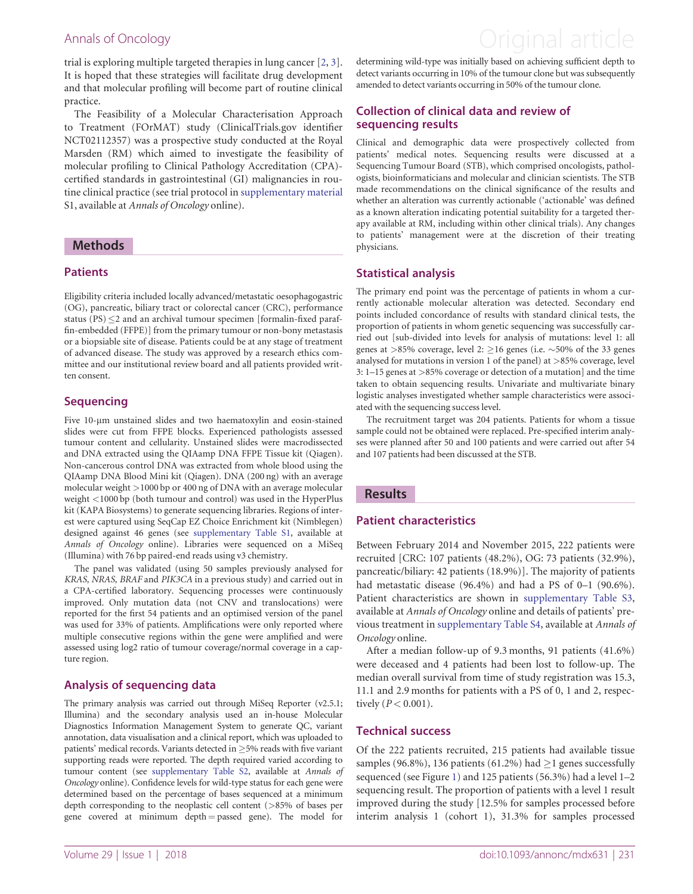<span id="page-1-0"></span>trial is exploring multiple targeted therapies in lung cancer [[2](#page-5-0), [3](#page-5-0)]. It is hoped that these strategies will facilitate drug development and that molecular profiling will become part of routine clinical practice.

The Feasibility of a Molecular Characterisation Approach to Treatment (FOrMAT) study (ClinicalTrials.gov identifier NCT02112357) was a prospective study conducted at the Royal Marsden (RM) which aimed to investigate the feasibility of molecular profiling to Clinical Pathology Accreditation (CPA) certified standards in gastrointestinal (GI) malignancies in routine clinical practice (see trial protocol in [supplementary material](https://academic.oup.com/annonc/article-lookup/doi/10.1093/annonc/mdx631#supplementary-data) S1, available at Annals of Oncology online).

#### **Methods**

#### **Patients**

Eligibility criteria included locally advanced/metastatic oesophagogastric (OG), pancreatic, biliary tract or colorectal cancer (CRC), performance status  $(PS) < 2$  and an archival tumour specimen [formalin-fixed paraffin-embedded (FFPE)] from the primary tumour or non-bony metastasis or a biopsiable site of disease. Patients could be at any stage of treatment of advanced disease. The study was approved by a research ethics committee and our institutional review board and all patients provided written consent.

#### **Sequencing**

Five 10-um unstained slides and two haematoxylin and eosin-stained slides were cut from FFPE blocks. Experienced pathologists assessed tumour content and cellularity. Unstained slides were macrodissected and DNA extracted using the QIAamp DNA FFPE Tissue kit (Qiagen). Non-cancerous control DNA was extracted from whole blood using the QIAamp DNA Blood Mini kit (Qiagen). DNA (200 ng) with an average molecular weight >1000 bp or 400 ng of DNA with an average molecular weight <1000 bp (both tumour and control) was used in the HyperPlus kit (KAPA Biosystems) to generate sequencing libraries. Regions of interest were captured using SeqCap EZ Choice Enrichment kit (Nimblegen) designed against 46 genes (see [supplementary Table S1,](https://academic.oup.com/annonc/article-lookup/doi/10.1093/annonc/mdx631#supplementary-data) available at Annals of Oncology online). Libraries were sequenced on a MiSeq (Illumina) with 76 bp paired-end reads using v3 chemistry.

The panel was validated (using 50 samples previously analysed for KRAS, NRAS, BRAF and PIK3CA in a previous study) and carried out in a CPA-certified laboratory. Sequencing processes were continuously improved. Only mutation data (not CNV and translocations) were reported for the first 54 patients and an optimised version of the panel was used for 33% of patients. Amplifications were only reported where multiple consecutive regions within the gene were amplified and were assessed using log2 ratio of tumour coverage/normal coverage in a capture region.

#### Analysis of sequencing data

The primary analysis was carried out through MiSeq Reporter (v2.5.1; Illumina) and the secondary analysis used an in-house Molecular Diagnostics Information Management System to generate QC, variant annotation, data visualisation and a clinical report, which was uploaded to patients' medical records. Variants detected in  $\geq$ 5% reads with five variant supporting reads were reported. The depth required varied according to tumour content (see [supplementary Table S2](https://academic.oup.com/annonc/article-lookup/doi/10.1093/annonc/mdx631#supplementary-data), available at Annals of Oncology online). Confidence levels for wild-type status for each gene were determined based on the percentage of bases sequenced at a minimum depth corresponding to the neoplastic cell content (>85% of bases per gene covered at minimum depth = passed gene). The model for

determining wild-type was initially based on achieving sufficient depth to detect variants occurring in 10% of the tumour clone but was subsequently amended to detect variants occurring in 50% of the tumour clone.

#### Collection of clinical data and review of sequencing results

Clinical and demographic data were prospectively collected from patients' medical notes. Sequencing results were discussed at a Sequencing Tumour Board (STB), which comprised oncologists, pathologists, bioinformaticians and molecular and clinician scientists. The STB made recommendations on the clinical significance of the results and whether an alteration was currently actionable ('actionable' was defined as a known alteration indicating potential suitability for a targeted therapy available at RM, including within other clinical trials). Any changes to patients' management were at the discretion of their treating physicians.

#### Statistical analysis

The primary end point was the percentage of patients in whom a currently actionable molecular alteration was detected. Secondary end points included concordance of results with standard clinical tests, the proportion of patients in whom genetic sequencing was successfully carried out [sub-divided into levels for analysis of mutations: level 1: all genes at  $>85\%$  coverage, level 2:  $\geq$ 16 genes (i.e.  $\sim$ 50% of the 33 genes analysed for mutations in version 1 of the panel) at >85% coverage, level 3: 1–15 genes at >85% coverage or detection of a mutation] and the time taken to obtain sequencing results. Univariate and multivariate binary logistic analyses investigated whether sample characteristics were associated with the sequencing success level.

The recruitment target was 204 patients. Patients for whom a tissue sample could not be obtained were replaced. Pre-specified interim analyses were planned after 50 and 100 patients and were carried out after 54 and 107 patients had been discussed at the STB.

#### Results

#### Patient characteristics

Between February 2014 and November 2015, 222 patients were recruited [CRC: 107 patients (48.2%), OG: 73 patients (32.9%), pancreatic/biliary: 42 patients (18.9%)]. The majority of patients had metastatic disease (96.4%) and had a PS of 0–1 (90.6%). Patient characteristics are shown in [supplementary Table S3,](https://academic.oup.com/annonc/article-lookup/doi/10.1093/annonc/mdx631#supplementary-data) available at Annals of Oncology online and details of patients' previous treatment in [supplementary Table S4,](https://academic.oup.com/annonc/article-lookup/doi/10.1093/annonc/mdx631#supplementary-data) available at Annals of Oncology online.

After a median follow-up of 9.3 months, 91 patients (41.6%) were deceased and 4 patients had been lost to follow-up. The median overall survival from time of study registration was 15.3, 11.1 and 2.9 months for patients with a PS of 0, 1 and 2, respectively ( $P < 0.001$ ).

#### Technical success

Of the 222 patients recruited, 215 patients had available tissue samples (96.8%), 136 patients (61.2%) had  $\geq$ 1 genes successfully sequenced (see Figure [1\)](#page-2-0) and 125 patients (56.3%) had a level 1–2 sequencing result. The proportion of patients with a level 1 result improved during the study [12.5% for samples processed before interim analysis 1 (cohort 1), 31.3% for samples processed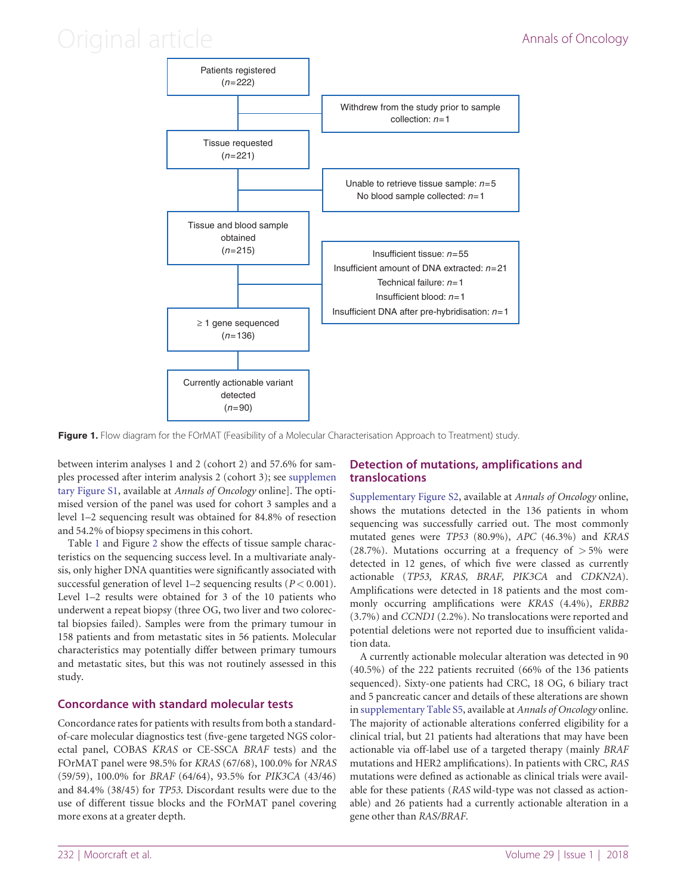## <span id="page-2-0"></span>Original article **Annals of Oncology**



Figure 1. Flow diagram for the FOrMAT (Feasibility of a Molecular Characterisation Approach to Treatment) study.

between interim analyses 1 and 2 (cohort 2) and 57.6% for samples processed after interim analysis 2 (cohort 3); see [supplemen](https://academic.oup.com/annonc/article-lookup/doi/10.1093/annonc/mdx631#supplementary-data) [tary Figure S1](https://academic.oup.com/annonc/article-lookup/doi/10.1093/annonc/mdx631#supplementary-data), available at Annals of Oncology online]. The optimised version of the panel was used for cohort 3 samples and a level 1–2 sequencing result was obtained for 84.8% of resection and 54.2% of biopsy specimens in this cohort.

Table [1](#page-3-0) and Figure [2](#page-4-0) show the effects of tissue sample characteristics on the sequencing success level. In a multivariate analysis, only higher DNA quantities were significantly associated with successful generation of level 1–2 sequencing results ( $P < 0.001$ ). Level 1–2 results were obtained for 3 of the 10 patients who underwent a repeat biopsy (three OG, two liver and two colorectal biopsies failed). Samples were from the primary tumour in 158 patients and from metastatic sites in 56 patients. Molecular characteristics may potentially differ between primary tumours and metastatic sites, but this was not routinely assessed in this study.

### Concordance with standard molecular tests

Concordance rates for patients with results from both a standardof-care molecular diagnostics test (five-gene targeted NGS colorectal panel, COBAS KRAS or CE-SSCA BRAF tests) and the FOrMAT panel were 98.5% for KRAS (67/68), 100.0% for NRAS (59/59), 100.0% for BRAF (64/64), 93.5% for PIK3CA (43/46) and 84.4% (38/45) for TP53. Discordant results were due to the use of different tissue blocks and the FOrMAT panel covering more exons at a greater depth.

### Detection of mutations, amplifications and translocations

[Supplementary Figure S2](https://academic.oup.com/annonc/article-lookup/doi/10.1093/annonc/mdx631#supplementary-data), available at Annals of Oncology online, shows the mutations detected in the 136 patients in whom sequencing was successfully carried out. The most commonly mutated genes were TP53 (80.9%), APC (46.3%) and KRAS (28.7%). Mutations occurring at a frequency of  $> 5\%$  were detected in 12 genes, of which five were classed as currently actionable (TP53, KRAS, BRAF, PIK3CA and CDKN2A). Amplifications were detected in 18 patients and the most commonly occurring amplifications were KRAS (4.4%), ERBB2 (3.7%) and CCND1 (2.2%). No translocations were reported and potential deletions were not reported due to insufficient validation data.

A currently actionable molecular alteration was detected in 90 (40.5%) of the 222 patients recruited (66% of the 136 patients sequenced). Sixty-one patients had CRC, 18 OG, 6 biliary tract and 5 pancreatic cancer and details of these alterations are shown in [supplementary Table S5](https://academic.oup.com/annonc/article-lookup/doi/10.1093/annonc/mdx631#supplementary-data), available at Annals of Oncology online. The majority of actionable alterations conferred eligibility for a clinical trial, but 21 patients had alterations that may have been actionable via off-label use of a targeted therapy (mainly BRAF mutations and HER2 amplifications). In patients with CRC, RAS mutations were defined as actionable as clinical trials were available for these patients (RAS wild-type was not classed as actionable) and 26 patients had a currently actionable alteration in a gene other than RAS/BRAF.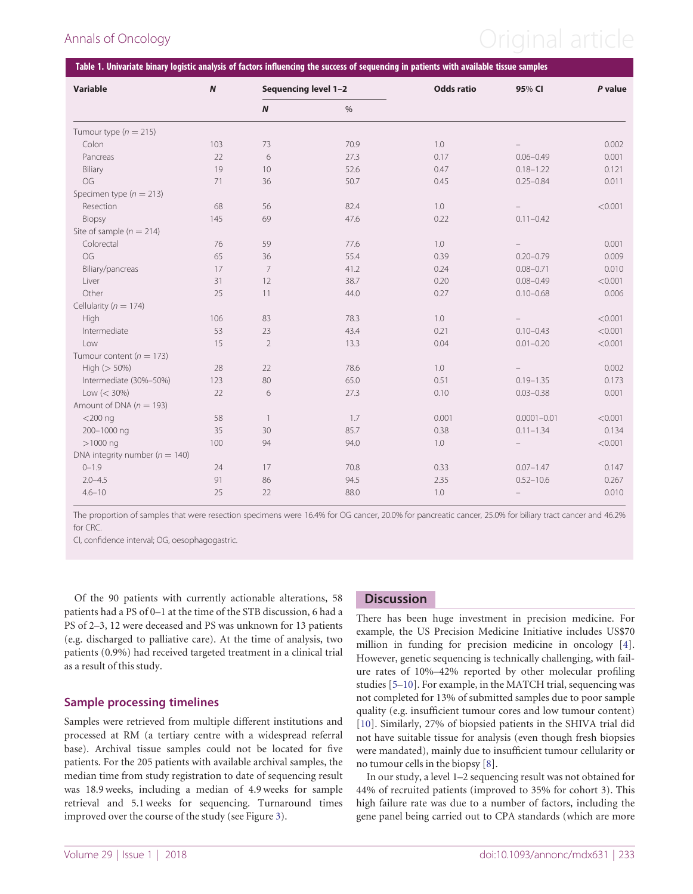# <span id="page-3-0"></span>Annals of Oncology **Annals of Oncology Annal article**

| Variable                           | $\boldsymbol{N}$ | Sequencing level 1-2 |               | <b>Odds ratio</b> | 95% CI            | P value |
|------------------------------------|------------------|----------------------|---------------|-------------------|-------------------|---------|
|                                    |                  | $\boldsymbol{N}$     | $\frac{0}{0}$ |                   |                   |         |
| Tumour type ( $n = 215$ )          |                  |                      |               |                   |                   |         |
| Colon                              | 103              | 73                   | 70.9          | 1.0               |                   | 0.002   |
| Pancreas                           | 22               | 6                    | 27.3          | 0.17              | $0.06 - 0.49$     | 0.001   |
| Biliary                            | 19               | 10                   | 52.6          | 0.47              | $0.18 - 1.22$     | 0.121   |
| OG                                 | 71               | 36                   | 50.7          | 0.45              | $0.25 - 0.84$     | 0.011   |
| Specimen type ( $n = 213$ )        |                  |                      |               |                   |                   |         |
| Resection                          | 68               | 56                   | 82.4          | 1.0               |                   | < 0.001 |
| Biopsy                             | 145              | 69                   | 47.6          | 0.22              | $0.11 - 0.42$     |         |
| Site of sample ( $n = 214$ )       |                  |                      |               |                   |                   |         |
| Colorectal                         | 76               | 59                   | 77.6          | 1.0               |                   | 0.001   |
| OG                                 | 65               | 36                   | 55.4          | 0.39              | $0.20 - 0.79$     | 0.009   |
| Biliary/pancreas                   | 17               | $7\overline{ }$      | 41.2          | 0.24              | $0.08 - 0.71$     | 0.010   |
| Liver                              | 31               | 12                   | 38.7          | 0.20              | $0.08 - 0.49$     | < 0.001 |
| Other                              | 25               | 11                   | 44.0          | 0.27              | $0.10 - 0.68$     | 0.006   |
| Cellularity ( $n = 174$ )          |                  |                      |               |                   |                   |         |
| High                               | 106              | 83                   | 78.3          | 1.0               |                   | < 0.001 |
| Intermediate                       | 53               | 23                   | 43.4          | 0.21              | $0.10 - 0.43$     | < 0.001 |
| Low                                | 15               | $\overline{2}$       | 13.3          | 0.04              | $0.01 - 0.20$     | < 0.001 |
| Tumour content ( $n = 173$ )       |                  |                      |               |                   |                   |         |
| High $(> 50\%)$                    | 28               | 22                   | 78.6          | 1.0               |                   | 0.002   |
| Intermediate (30%-50%)             | 123              | 80                   | 65.0          | 0.51              | $0.19 - 1.35$     | 0.173   |
| $Low (< 30\%)$                     | 22               | 6                    | 27.3          | 0.10              | $0.03 - 0.38$     | 0.001   |
| Amount of DNA ( $n = 193$ )        |                  |                      |               |                   |                   |         |
| $<$ 200 $nq$                       | 58               | $\overline{1}$       | 1.7           | 0.001             | $0.0001 - 0.01$   | < 0.001 |
| 200-1000 ng                        | 35               | 30                   | 85.7          | 0.38              | $0.11 - 1.34$     | 0.134   |
| $>1000$ ng                         | 100              | 94                   | 94.0          | 1.0               | $\qquad \qquad -$ | < 0.001 |
| DNA integrity number ( $n = 140$ ) |                  |                      |               |                   |                   |         |
| $0 - 1.9$                          | 24               | 17                   | 70.8          | 0.33              | $0.07 - 1.47$     | 0.147   |
| $2.0 - 4.5$                        | 91               | 86                   | 94.5          | 2.35              | $0.52 - 10.6$     | 0.267   |
| $4.6 - 10$                         | 25               | 22                   | 88.0          | 1.0               | $\qquad \qquad -$ | 0.010   |

The proportion of samples that were resection specimens were 16.4% for OG cancer, 20.0% for pancreatic cancer, 25.0% for biliary tract cancer and 46.2% for CRC.

CI, confidence interval; OG, oesophagogastric.

Of the 90 patients with currently actionable alterations, 58 patients had a PS of 0–1 at the time of the STB discussion, 6 had a PS of 2–3, 12 were deceased and PS was unknown for 13 patients (e.g. discharged to palliative care). At the time of analysis, two patients (0.9%) had received targeted treatment in a clinical trial as a result of this study.

#### Sample processing timelines

Samples were retrieved from multiple different institutions and processed at RM (a tertiary centre with a widespread referral base). Archival tissue samples could not be located for five patients. For the 205 patients with available archival samples, the median time from study registration to date of sequencing result was 18.9 weeks, including a median of 4.9 weeks for sample retrieval and 5.1 weeks for sequencing. Turnaround times improved over the course of the study (see Figure [3](#page-4-0)).

### **Discussion**

There has been huge investment in precision medicine. For example, the US Precision Medicine Initiative includes US\$70 million in funding for precision medicine in oncology [[4](#page-5-0)]. However, genetic sequencing is technically challenging, with failure rates of 10%–42% reported by other molecular profiling studies [[5–10](#page-6-0)]. For example, in the MATCH trial, sequencing was not completed for 13% of submitted samples due to poor sample quality (e.g. insufficient tumour cores and low tumour content) [[10\]](#page-6-0). Similarly, 27% of biopsied patients in the SHIVA trial did not have suitable tissue for analysis (even though fresh biopsies were mandated), mainly due to insufficient tumour cellularity or no tumour cells in the biopsy [[8](#page-6-0)].

In our study, a level 1–2 sequencing result was not obtained for 44% of recruited patients (improved to 35% for cohort 3). This high failure rate was due to a number of factors, including the gene panel being carried out to CPA standards (which are more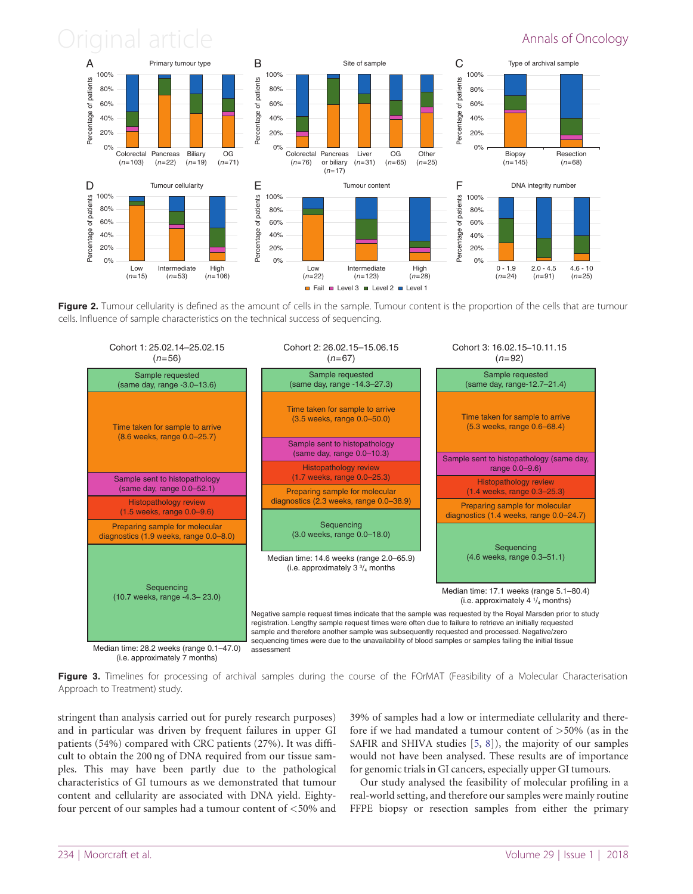## <span id="page-4-0"></span>Original article **Annals of Oncology**



Figure 2. Tumour cellularity is defined as the amount of cells in the sample. Tumour content is the proportion of the cells that are tumour cells. Influence of sample characteristics on the technical success of sequencing.



Figure 3. Timelines for processing of archival samples during the course of the FOrMAT (Feasibility of a Molecular Characterisation

Approach to Treatment) study.

stringent than analysis carried out for purely research purposes) and in particular was driven by frequent failures in upper GI patients (54%) compared with CRC patients (27%). It was difficult to obtain the 200 ng of DNA required from our tissue samples. This may have been partly due to the pathological characteristics of GI tumours as we demonstrated that tumour content and cellularity are associated with DNA yield. Eightyfour percent of our samples had a tumour content of <50% and 39% of samples had a low or intermediate cellularity and therefore if we had mandated a tumour content of >50% (as in the SAFIR and SHIVA studies [\[5,](#page-6-0) [8\]](#page-6-0)), the majority of our samples would not have been analysed. These results are of importance for genomic trials in GI cancers, especially upper GI tumours.

Our study analysed the feasibility of molecular profiling in a real-world setting, and therefore our samples were mainly routine FFPE biopsy or resection samples from either the primary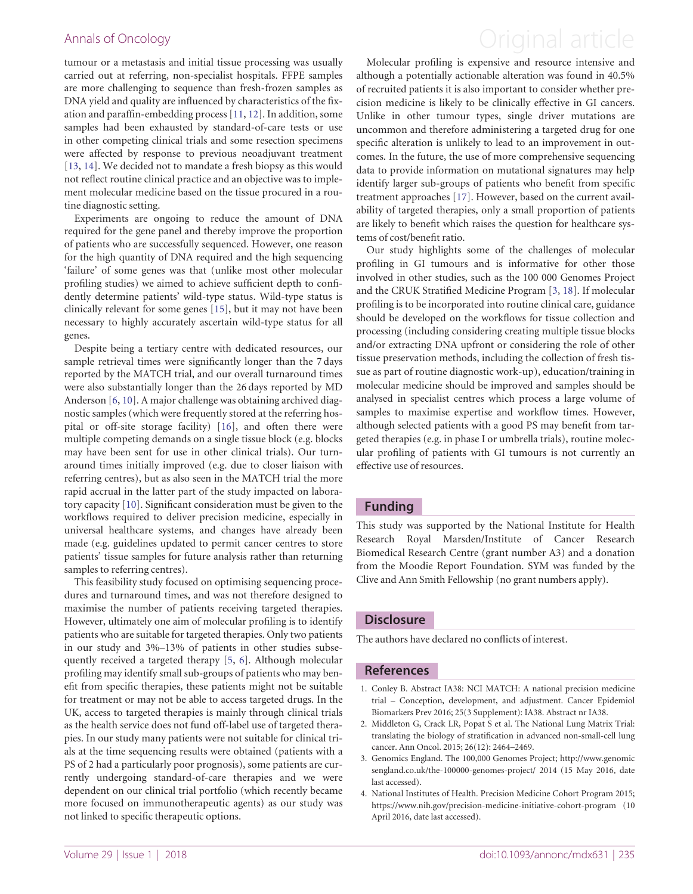tumour or a metastasis and initial tissue processing was usually carried out at referring, non-specialist hospitals. FFPE samples are more challenging to sequence than fresh-frozen samples as DNA yield and quality are influenced by characteristics of the fixation and paraffin-embedding process [\[11](#page-6-0), [12](#page-6-0)]. In addition, some samples had been exhausted by standard-of-care tests or use in other competing clinical trials and some resection specimens were affected by response to previous neoadjuvant treatment [\[13](#page-6-0), [14\]](#page-6-0). We decided not to mandate a fresh biopsy as this would not reflect routine clinical practice and an objective was to implement molecular medicine based on the tissue procured in a routine diagnostic setting.

Experiments are ongoing to reduce the amount of DNA required for the gene panel and thereby improve the proportion of patients who are successfully sequenced. However, one reason for the high quantity of DNA required and the high sequencing 'failure' of some genes was that (unlike most other molecular profiling studies) we aimed to achieve sufficient depth to confidently determine patients' wild-type status. Wild-type status is clinically relevant for some genes [\[15](#page-6-0)], but it may not have been necessary to highly accurately ascertain wild-type status for all genes.

Despite being a tertiary centre with dedicated resources, our sample retrieval times were significantly longer than the 7 days reported by the MATCH trial, and our overall turnaround times were also substantially longer than the 26 days reported by MD Anderson [\[6,](#page-6-0) [10](#page-6-0)]. A major challenge was obtaining archived diagnostic samples (which were frequently stored at the referring hospital or off-site storage facility) [\[16\]](#page-6-0), and often there were multiple competing demands on a single tissue block (e.g. blocks may have been sent for use in other clinical trials). Our turnaround times initially improved (e.g. due to closer liaison with referring centres), but as also seen in the MATCH trial the more rapid accrual in the latter part of the study impacted on laboratory capacity [\[10](#page-6-0)]. Significant consideration must be given to the workflows required to deliver precision medicine, especially in universal healthcare systems, and changes have already been made (e.g. guidelines updated to permit cancer centres to store patients' tissue samples for future analysis rather than returning samples to referring centres).

This feasibility study focused on optimising sequencing procedures and turnaround times, and was not therefore designed to maximise the number of patients receiving targeted therapies. However, ultimately one aim of molecular profiling is to identify patients who are suitable for targeted therapies. Only two patients in our study and 3%–13% of patients in other studies subsequently received a targeted therapy [\[5,](#page-6-0) [6](#page-6-0)]. Although molecular profiling may identify small sub-groups of patients who may benefit from specific therapies, these patients might not be suitable for treatment or may not be able to access targeted drugs. In the UK, access to targeted therapies is mainly through clinical trials as the health service does not fund off-label use of targeted therapies. In our study many patients were not suitable for clinical trials at the time sequencing results were obtained (patients with a PS of 2 had a particularly poor prognosis), some patients are currently undergoing standard-of-care therapies and we were dependent on our clinical trial portfolio (which recently became more focused on immunotherapeutic agents) as our study was not linked to specific therapeutic options.

### <span id="page-5-0"></span>Annals of Oncology **Annals of Oncology Annal article**

Molecular profiling is expensive and resource intensive and although a potentially actionable alteration was found in 40.5% of recruited patients it is also important to consider whether precision medicine is likely to be clinically effective in GI cancers. Unlike in other tumour types, single driver mutations are uncommon and therefore administering a targeted drug for one specific alteration is unlikely to lead to an improvement in outcomes. In the future, the use of more comprehensive sequencing data to provide information on mutational signatures may help identify larger sub-groups of patients who benefit from specific treatment approaches [[17\]](#page-6-0). However, based on the current availability of targeted therapies, only a small proportion of patients are likely to benefit which raises the question for healthcare systems of cost/benefit ratio.

Our study highlights some of the challenges of molecular profiling in GI tumours and is informative for other those involved in other studies, such as the 100 000 Genomes Project and the CRUK Stratified Medicine Program [3, [18\]](#page-6-0). If molecular profiling is to be incorporated into routine clinical care, guidance should be developed on the workflows for tissue collection and processing (including considering creating multiple tissue blocks and/or extracting DNA upfront or considering the role of other tissue preservation methods, including the collection of fresh tissue as part of routine diagnostic work-up), education/training in molecular medicine should be improved and samples should be analysed in specialist centres which process a large volume of samples to maximise expertise and workflow times. However, although selected patients with a good PS may benefit from targeted therapies (e.g. in phase I or umbrella trials), routine molecular profiling of patients with GI tumours is not currently an effective use of resources.

#### Funding

This study was supported by the National Institute for Health Research Royal Marsden/Institute of Cancer Research Biomedical Research Centre (grant number A3) and a donation from the Moodie Report Foundation. SYM was funded by the Clive and Ann Smith Fellowship (no grant numbers apply).

### **Disclosure**

The authors have declared no conflicts of interest.

#### References

- [1.](#page-0-0) Conley B. Abstract IA38: NCI MATCH: A national precision medicine trial – Conception, development, and adjustment. Cancer Epidemiol Biomarkers Prev 2016; 25(3 Supplement): IA38. Abstract nr IA38.
- [2.](#page-1-0) Middleton G, Crack LR, Popat S et al. The National Lung Matrix Trial: translating the biology of stratification in advanced non-small-cell lung cancer. Ann Oncol. 2015; 26(12): 2464–2469.
- [3.](#page-1-0) Genomics England. The 100,000 Genomes Project; [http://www.genomic](http://www.genomicsengland.co.uk/the-100000-genomes-project/) [sengland.co.uk/the-100000-genomes-project/](http://www.genomicsengland.co.uk/the-100000-genomes-project/) 2014 (15 May 2016, date last accessed).
- [4.](#page-3-0) National Institutes of Health. Precision Medicine Cohort Program 2015; <https://www.nih.gov/precision-medicine-initiative-cohort-program> (10 April 2016, date last accessed).